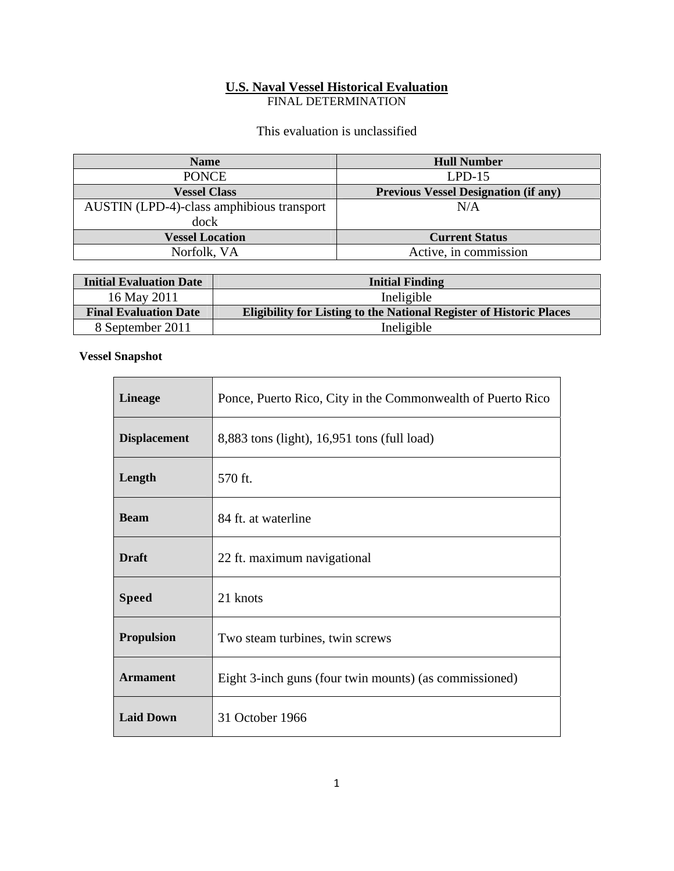# **U.S. Naval Vessel Historical Evaluation**

FINAL DETERMINATION

## This evaluation is unclassified

| <b>Name</b>                               | <b>Hull Number</b>                          |
|-------------------------------------------|---------------------------------------------|
| <b>PONCE</b>                              | $LPD-15$                                    |
| <b>Vessel Class</b>                       | <b>Previous Vessel Designation (if any)</b> |
| AUSTIN (LPD-4)-class amphibious transport | N/A                                         |
| dock                                      |                                             |
| <b>Vessel Location</b>                    | <b>Current Status</b>                       |
| Norfolk, VA                               | Active, in commission                       |

| <b>Initial Evaluation Date</b> | <b>Initial Finding</b>                                                     |
|--------------------------------|----------------------------------------------------------------------------|
| 16 May 2011                    | Ineligible                                                                 |
| <b>Final Evaluation Date</b>   | <b>Eligibility for Listing to the National Register of Historic Places</b> |
| 8 September 2011               | Ineligible                                                                 |

<u> 1989 - Johann Stoff, deutscher Stoffen und der Stoffen und der Stoffen und der Stoffen und der Stoffen und der</u>

### **Vessel Snapshot**

| <b>Lineage</b>      | Ponce, Puerto Rico, City in the Commonwealth of Puerto Rico |
|---------------------|-------------------------------------------------------------|
| <b>Displacement</b> | 8,883 tons (light), 16,951 tons (full load)                 |
| Length              | 570 ft.                                                     |
| <b>Beam</b>         | 84 ft. at waterline                                         |
| <b>Draft</b>        | 22 ft. maximum navigational                                 |
| <b>Speed</b>        | 21 knots                                                    |
| <b>Propulsion</b>   | Two steam turbines, twin screws                             |
| <b>Armament</b>     | Eight 3-inch guns (four twin mounts) (as commissioned)      |
| <b>Laid Down</b>    | 31 October 1966                                             |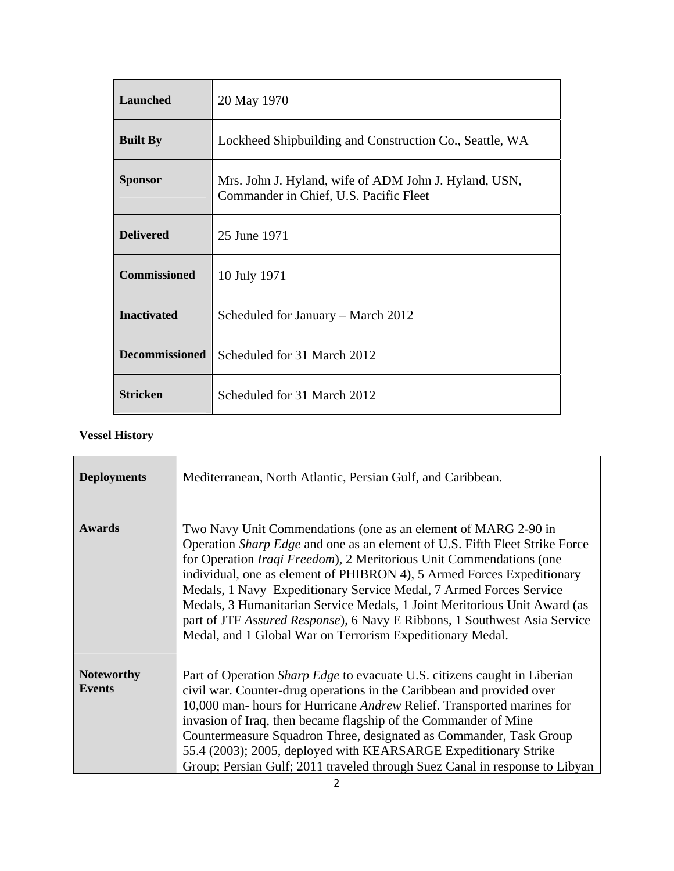| Launched              | 20 May 1970                                                                                     |
|-----------------------|-------------------------------------------------------------------------------------------------|
| <b>Built By</b>       | Lockheed Shipbuilding and Construction Co., Seattle, WA                                         |
| <b>Sponsor</b>        | Mrs. John J. Hyland, wife of ADM John J. Hyland, USN,<br>Commander in Chief, U.S. Pacific Fleet |
| <b>Delivered</b>      | 25 June 1971                                                                                    |
| <b>Commissioned</b>   | 10 July 1971                                                                                    |
| <b>Inactivated</b>    | Scheduled for January – March 2012                                                              |
| <b>Decommissioned</b> | Scheduled for 31 March 2012                                                                     |
| <b>Stricken</b>       | Scheduled for 31 March 2012                                                                     |

## **Vessel History**

| <b>Deployments</b>                 | Mediterranean, North Atlantic, Persian Gulf, and Caribbean.                                                                                                                                                                                                                                                                                                                                                                                                                                                                                                                                         |
|------------------------------------|-----------------------------------------------------------------------------------------------------------------------------------------------------------------------------------------------------------------------------------------------------------------------------------------------------------------------------------------------------------------------------------------------------------------------------------------------------------------------------------------------------------------------------------------------------------------------------------------------------|
| <b>Awards</b>                      | Two Navy Unit Commendations (one as an element of MARG 2-90 in<br>Operation Sharp Edge and one as an element of U.S. Fifth Fleet Strike Force<br>for Operation <i>Iraqi Freedom</i> ), 2 Meritorious Unit Commendations (one<br>individual, one as element of PHIBRON 4), 5 Armed Forces Expeditionary<br>Medals, 1 Navy Expeditionary Service Medal, 7 Armed Forces Service<br>Medals, 3 Humanitarian Service Medals, 1 Joint Meritorious Unit Award (as<br>part of JTF Assured Response), 6 Navy E Ribbons, 1 Southwest Asia Service<br>Medal, and 1 Global War on Terrorism Expeditionary Medal. |
| <b>Noteworthy</b><br><b>Events</b> | Part of Operation <i>Sharp Edge</i> to evacuate U.S. citizens caught in Liberian<br>civil war. Counter-drug operations in the Caribbean and provided over<br>10,000 man- hours for Hurricane Andrew Relief. Transported marines for<br>invasion of Iraq, then became flagship of the Commander of Mine<br>Countermeasure Squadron Three, designated as Commander, Task Group<br>55.4 (2003); 2005, deployed with KEARSARGE Expeditionary Strike<br>Group; Persian Gulf; 2011 traveled through Suez Canal in response to Libyan                                                                      |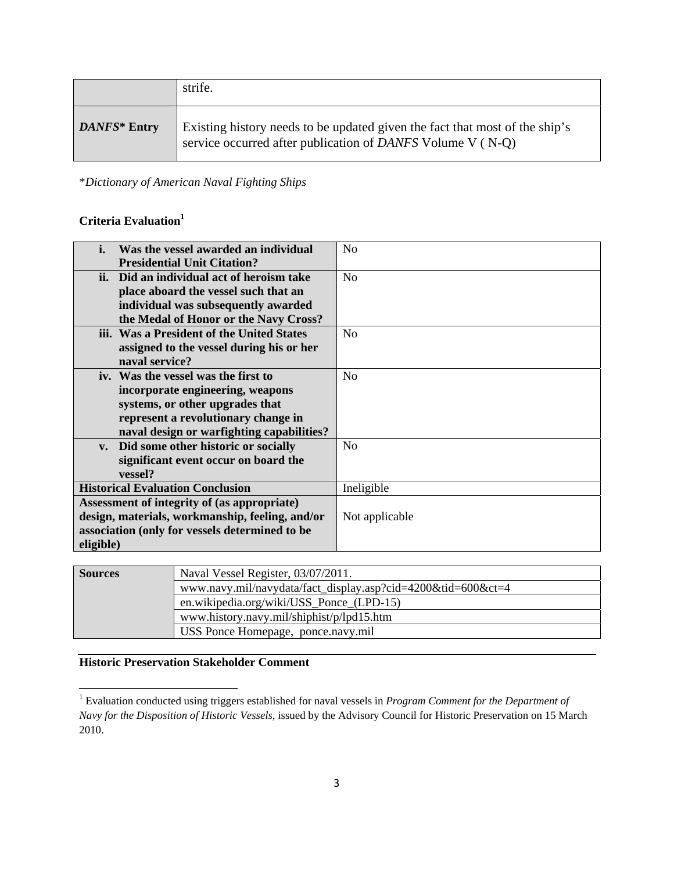|              | strife.                                                                                                                                   |
|--------------|-------------------------------------------------------------------------------------------------------------------------------------------|
| DANFS* Entry | Existing history needs to be updated given the fact that most of the ship's<br>service occurred after publication of DANFS Volume V (N-Q) |

\**Dictionary of American Naval Fighting Ships*

## **Criteria Evaluation1**

| i.                                              | Was the vessel awarded an individual      | No             |
|-------------------------------------------------|-------------------------------------------|----------------|
|                                                 | <b>Presidential Unit Citation?</b>        |                |
|                                                 | ii. Did an individual act of heroism take | No             |
|                                                 | place aboard the vessel such that an      |                |
|                                                 | individual was subsequently awarded       |                |
|                                                 | the Medal of Honor or the Navy Cross?     |                |
|                                                 | iii. Was a President of the United States | No             |
|                                                 | assigned to the vessel during his or her  |                |
|                                                 | naval service?                            |                |
|                                                 | iv. Was the vessel was the first to       | No             |
|                                                 | incorporate engineering, weapons          |                |
|                                                 | systems, or other upgrades that           |                |
|                                                 | represent a revolutionary change in       |                |
|                                                 | naval design or warfighting capabilities? |                |
| $V_{\bullet}$                                   | Did some other historic or socially       | N <sub>o</sub> |
|                                                 | significant event occur on board the      |                |
|                                                 | vessel?                                   |                |
| <b>Historical Evaluation Conclusion</b>         |                                           | Ineligible     |
| Assessment of integrity of (as appropriate)     |                                           |                |
| design, materials, workmanship, feeling, and/or |                                           | Not applicable |
| association (only for vessels determined to be  |                                           |                |
| eligible)                                       |                                           |                |

| <b>Sources</b> | Naval Vessel Register, 03/07/2011.                           |  |
|----------------|--------------------------------------------------------------|--|
|                | www.navy.mil/navydata/fact_display.asp?cid=4200&tid=600&ct=4 |  |
|                | en.wikipedia.org/wiki/USS_Ponce_(LPD-15)                     |  |
|                | www.history.navy.mil/shiphist/p/lpd15.htm                    |  |
|                | USS Ponce Homepage, ponce.navy.mil                           |  |

## **Historic Preservation Stakeholder Comment**

 1 Evaluation conducted using triggers established for naval vessels in *Program Comment for the Department of Navy for the Disposition of Historic Vessels*, issued by the Advisory Council for Historic Preservation on 15 March 2010.